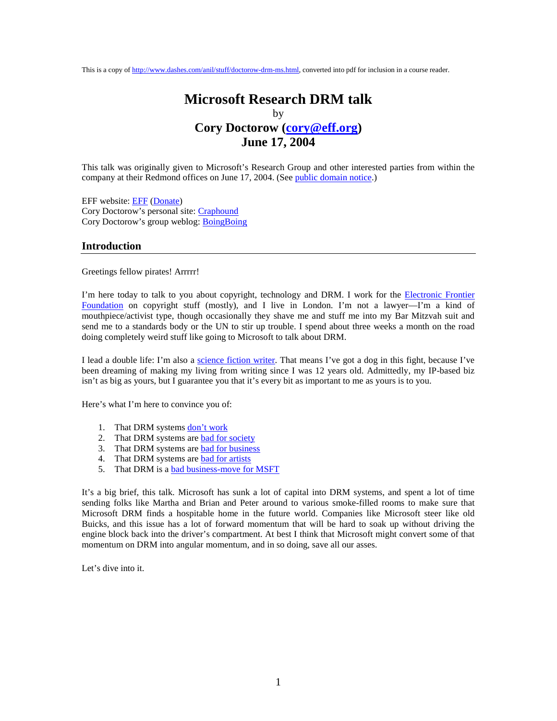This is a copy o[f http://www.dashes.com/anil/stuff/doctorow-drm-ms.html,](http://www.dashes.com/anil/stuff/doctorow-drm-ms.html) converted into pdf for inclusion in a course reader.

# **Microsoft Research DRM talk** by **Cory Doctorow [\(cory@eff.org\)](mailto:cory@eff.org) June 17, 2004**

This talk was originally given to Microsoft's Research Group and other interested parties from within the company at their Redmond offices on June 17, 2004. (See [public domain notice.](http://junk.haughey.com/doctorow-drm-ms.html#copyright))

EFF website: [EFF](http://www.eff.org/) [\(Donate\)](https://secure.eff.org/) Cory Doctorow's personal site: [Craphound](http://www.craphound.com/) Cory Doctorow's group weblog: [BoingBoing](http://www.boingboing.net/)

## **Introduction**

Greetings fellow pirates! Arrrrr!

I'm here today to talk to you about copyright, technology and DRM. I work for the Electronic Frontier [Foundation](http://www.eff.org/) on copyright stuff (mostly), and I live in London. I'm not a lawyer—I'm a kind of mouthpiece/activist type, though occasionally they shave me and stuff me into my Bar Mitzvah suit and send me to a standards body or the UN to stir up trouble. I spend about three weeks a month on the road doing completely weird stuff like going to Microsoft to talk about DRM.

I lead a double life: I'm also a [science fiction writer.](http://craphound.com/est/) That means I've got a dog in this fight, because I've been dreaming of making my living from writing since I was 12 years old. Admittedly, my IP-based biz isn't as big as yours, but I guarantee you that it's every bit as important to me as yours is to you.

Here's what I'm here to convince you of:

- 1. That DRM systems [don't work](http://junk.haughey.com/doctorow-drm-ms.html#dontwork)
- 2. That DRM systems are **bad for society**
- 3. That DRM systems are [bad for business](http://junk.haughey.com/doctorow-drm-ms.html#badforbiz)
- 4. That DRM systems are [bad for artists](http://junk.haughey.com/doctorow-drm-ms.html#badforart)
- 5. That DRM is a [bad business-move for MSFT](http://junk.haughey.com/doctorow-drm-ms.html#badforms)

It's a big brief, this talk. Microsoft has sunk a lot of capital into DRM systems, and spent a lot of time sending folks like Martha and Brian and Peter around to various smoke-filled rooms to make sure that Microsoft DRM finds a hospitable home in the future world. Companies like Microsoft steer like old Buicks, and this issue has a lot of forward momentum that will be hard to soak up without driving the engine block back into the driver's compartment. At best I think that Microsoft might convert some of that momentum on DRM into angular momentum, and in so doing, save all our asses.

Let's dive into it.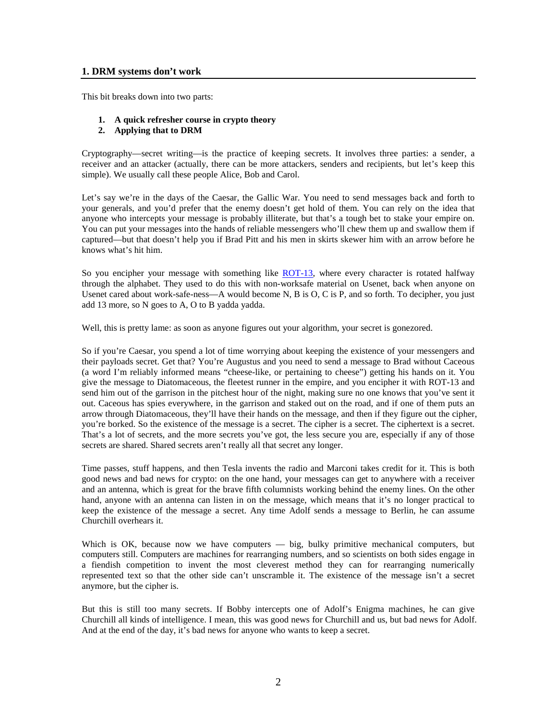#### **1. DRM systems don't work**

This bit breaks down into two parts:

#### **1. A quick refresher course in crypto theory**

#### **2. Applying that to DRM**

Cryptography—secret writing—is the practice of keeping secrets. It involves three parties: a sender, a receiver and an attacker (actually, there can be more attackers, senders and recipients, but let's keep this simple). We usually call these people Alice, Bob and Carol.

Let's say we're in the days of the Caesar, the Gallic War. You need to send messages back and forth to your generals, and you'd prefer that the enemy doesn't get hold of them. You can rely on the idea that anyone who intercepts your message is probably illiterate, but that's a tough bet to stake your empire on. You can put your messages into the hands of reliable messengers who'll chew them up and swallow them if captured—but that doesn't help you if Brad Pitt and his men in skirts skewer him with an arrow before he knows what's hit him.

So you encipher your message with something like [ROT-13,](http://www.rot13.com/) where every character is rotated halfway through the alphabet. They used to do this with non-worksafe material on Usenet, back when anyone on Usenet cared about work-safe-ness—A would become N, B is O, C is P, and so forth. To decipher, you just add 13 more, so N goes to A, O to B yadda yadda.

Well, this is pretty lame: as soon as anyone figures out your algorithm, your secret is gonezored.

So if you're Caesar, you spend a lot of time worrying about keeping the existence of your messengers and their payloads secret. Get that? You're Augustus and you need to send a message to Brad without Caceous (a word I'm reliably informed means "cheese-like, or pertaining to cheese") getting his hands on it. You give the message to Diatomaceous, the fleetest runner in the empire, and you encipher it with ROT-13 and send him out of the garrison in the pitchest hour of the night, making sure no one knows that you've sent it out. Caceous has spies everywhere, in the garrison and staked out on the road, and if one of them puts an arrow through Diatomaceous, they'll have their hands on the message, and then if they figure out the cipher, you're borked. So the existence of the message is a secret. The cipher is a secret. The ciphertext is a secret. That's a lot of secrets, and the more secrets you've got, the less secure you are, especially if any of those secrets are shared. Shared secrets aren't really all that secret any longer.

Time passes, stuff happens, and then Tesla invents the radio and Marconi takes credit for it. This is both good news and bad news for crypto: on the one hand, your messages can get to anywhere with a receiver and an antenna, which is great for the brave fifth columnists working behind the enemy lines. On the other hand, anyone with an antenna can listen in on the message, which means that it's no longer practical to keep the existence of the message a secret. Any time Adolf sends a message to Berlin, he can assume Churchill overhears it.

Which is OK, because now we have computers — big, bulky primitive mechanical computers, but computers still. Computers are machines for rearranging numbers, and so scientists on both sides engage in a fiendish competition to invent the most cleverest method they can for rearranging numerically represented text so that the other side can't unscramble it. The existence of the message isn't a secret anymore, but the cipher is.

But this is still too many secrets. If Bobby intercepts one of Adolf's Enigma machines, he can give Churchill all kinds of intelligence. I mean, this was good news for Churchill and us, but bad news for Adolf. And at the end of the day, it's bad news for anyone who wants to keep a secret.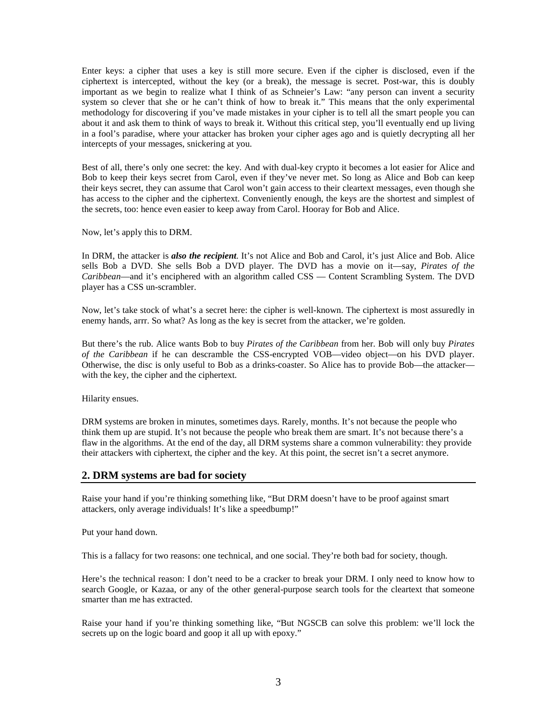Enter keys: a cipher that uses a key is still more secure. Even if the cipher is disclosed, even if the ciphertext is intercepted, without the key (or a break), the message is secret. Post-war, this is doubly important as we begin to realize what I think of as Schneier's Law: "any person can invent a security system so clever that she or he can't think of how to break it." This means that the only experimental methodology for discovering if you've made mistakes in your cipher is to tell all the smart people you can about it and ask them to think of ways to break it. Without this critical step, you'll eventually end up living in a fool's paradise, where your attacker has broken your cipher ages ago and is quietly decrypting all her intercepts of your messages, snickering at you.

Best of all, there's only one secret: the key. And with dual-key crypto it becomes a lot easier for Alice and Bob to keep their keys secret from Carol, even if they've never met. So long as Alice and Bob can keep their keys secret, they can assume that Carol won't gain access to their cleartext messages, even though she has access to the cipher and the ciphertext. Conveniently enough, the keys are the shortest and simplest of the secrets, too: hence even easier to keep away from Carol. Hooray for Bob and Alice.

Now, let's apply this to DRM.

In DRM, the attacker is *also the recipient*. It's not Alice and Bob and Carol, it's just Alice and Bob. Alice sells Bob a DVD. She sells Bob a DVD player. The DVD has a movie on it—say, *Pirates of the Caribbean*—and it's enciphered with an algorithm called CSS — Content Scrambling System. The DVD player has a CSS un-scrambler.

Now, let's take stock of what's a secret here: the cipher is well-known. The ciphertext is most assuredly in enemy hands, arrr. So what? As long as the key is secret from the attacker, we're golden.

But there's the rub. Alice wants Bob to buy *Pirates of the Caribbean* from her. Bob will only buy *Pirates of the Caribbean* if he can descramble the CSS-encrypted VOB—video object—on his DVD player. Otherwise, the disc is only useful to Bob as a drinks-coaster. So Alice has to provide Bob—the attacker with the key, the cipher and the ciphertext.

Hilarity ensues.

DRM systems are broken in minutes, sometimes days. Rarely, months. It's not because the people who think them up are stupid. It's not because the people who break them are smart. It's not because there's a flaw in the algorithms. At the end of the day, all DRM systems share a common vulnerability: they provide their attackers with ciphertext, the cipher and the key. At this point, the secret isn't a secret anymore.

# **2. DRM systems are bad for society**

Raise your hand if you're thinking something like, "But DRM doesn't have to be proof against smart attackers, only average individuals! It's like a speedbump!"

Put your hand down.

This is a fallacy for two reasons: one technical, and one social. They're both bad for society, though.

Here's the technical reason: I don't need to be a cracker to break your DRM. I only need to know how to search Google, or Kazaa, or any of the other general-purpose search tools for the cleartext that someone smarter than me has extracted.

Raise your hand if you're thinking something like, "But NGSCB can solve this problem: we'll lock the secrets up on the logic board and goop it all up with epoxy."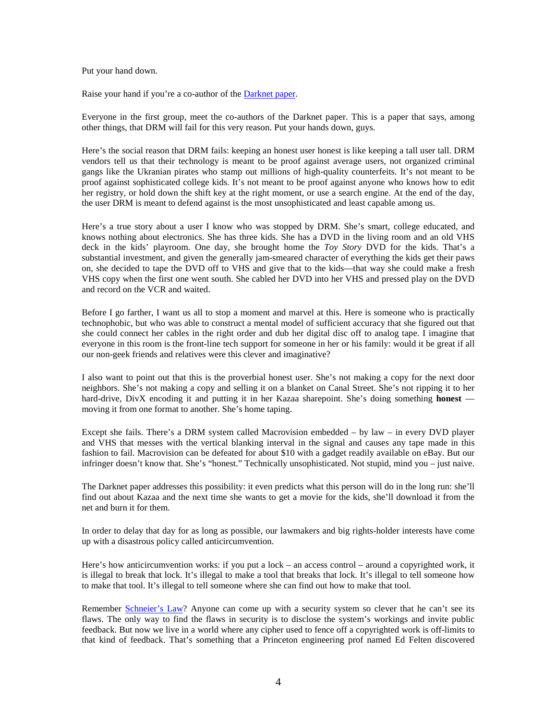Put your hand down.

Raise your hand if you're a co-author of the [Darknet paper.](http://boingboing.net/2002/11/20/msfts_darknet_paper_.html)

Everyone in the first group, meet the co-authors of the Darknet paper. This is a paper that says, among other things, that DRM will fail for this very reason. Put your hands down, guys.

Here's the social reason that DRM fails: keeping an honest user honest is like keeping a tall user tall. DRM vendors tell us that their technology is meant to be proof against average users, not organized criminal gangs like the Ukranian pirates who stamp out millions of high-quality counterfeits. It's not meant to be proof against sophisticated college kids. It's not meant to be proof against anyone who knows how to edit her registry, or hold down the shift key at the right moment, or use a search engine. At the end of the day, the user DRM is meant to defend against is the most unsophisticated and least capable among us.

Here's a true story about a user I know who was stopped by DRM. She's smart, college educated, and knows nothing about electronics. She has three kids. She has a DVD in the living room and an old VHS deck in the kids' playroom. One day, she brought home the *Toy Story* DVD for the kids. That's a substantial investment, and given the generally jam-smeared character of everything the kids get their paws on, she decided to tape the DVD off to VHS and give that to the kids—that way she could make a fresh VHS copy when the first one went south. She cabled her DVD into her VHS and pressed play on the DVD and record on the VCR and waited.

Before I go farther, I want us all to stop a moment and marvel at this. Here is someone who is practically technophobic, but who was able to construct a mental model of sufficient accuracy that she figured out that she could connect her cables in the right order and dub her digital disc off to analog tape. I imagine that everyone in this room is the front-line tech support for someone in her or his family: would it be great if all our non-geek friends and relatives were this clever and imaginative?

I also want to point out that this is the proverbial honest user. She's not making a copy for the next door neighbors. She's not making a copy and selling it on a blanket on Canal Street. She's not ripping it to her hard-drive, DivX encoding it and putting it in her Kazaa sharepoint. She's doing something **honest**  moving it from one format to another. She's home taping.

Except she fails. There's a DRM system called Macrovision embedded – by law – in every DVD player and VHS that messes with the vertical blanking interval in the signal and causes any tape made in this fashion to fail. Macrovision can be defeated for about \$10 with a gadget readily available on eBay. But our infringer doesn't know that. She's "honest." Technically unsophisticated. Not stupid, mind you – just naive.

The Darknet paper addresses this possibility: it even predicts what this person will do in the long run: she'll find out about Kazaa and the next time she wants to get a movie for the kids, she'll download it from the net and burn it for them.

In order to delay that day for as long as possible, our lawmakers and big rights-holder interests have come up with a disastrous policy called anticircumvention.

Here's how anticircumvention works: if you put a lock – an access control – around a copyrighted work, it is illegal to break that lock. It's illegal to make a tool that breaks that lock. It's illegal to tell someone how to make that tool. It's illegal to tell someone where she can find out how to make that tool.

Remember [Schneier's Law?](http://www.schneier.com/) Anyone can come up with a security system so clever that he can't see its flaws. The only way to find the flaws in security is to disclose the system's workings and invite public feedback. But now we live in a world where any cipher used to fence off a copyrighted work is off-limits to that kind of feedback. That's something that a Princeton engineering prof named Ed Felten discovered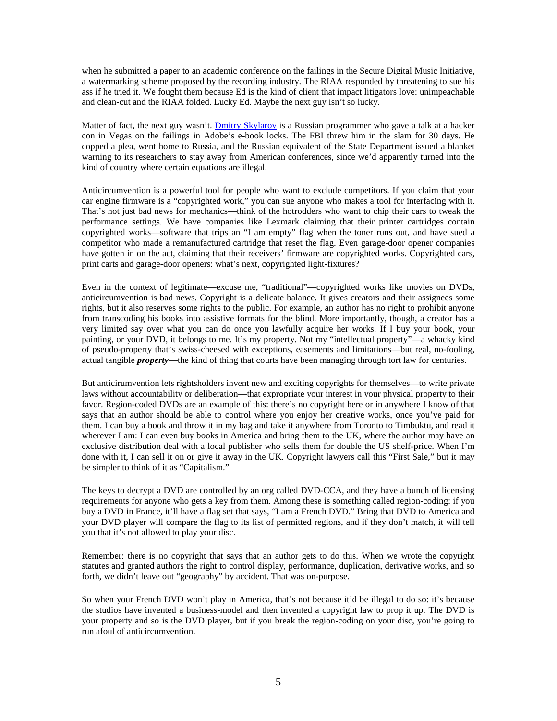when he submitted a paper to an academic conference on the failings in the Secure Digital Music Initiative, a watermarking scheme proposed by the recording industry. The RIAA responded by threatening to sue his ass if he tried it. We fought them because Ed is the kind of client that impact litigators love: unimpeachable and clean-cut and the RIAA folded. Lucky Ed. Maybe the next guy isn't so lucky.

Matter of fact, the next guy wasn't. **Dmitry Skylarov** is a Russian programmer who gave a talk at a hacker con in Vegas on the failings in Adobe's e-book locks. The FBI threw him in the slam for 30 days. He copped a plea, went home to Russia, and the Russian equivalent of the State Department issued a blanket warning to its researchers to stay away from American conferences, since we'd apparently turned into the kind of country where certain equations are illegal.

Anticircumvention is a powerful tool for people who want to exclude competitors. If you claim that your car engine firmware is a "copyrighted work," you can sue anyone who makes a tool for interfacing with it. That's not just bad news for mechanics—think of the hotrodders who want to chip their cars to tweak the performance settings. We have companies like Lexmark claiming that their printer cartridges contain copyrighted works—software that trips an "I am empty" flag when the toner runs out, and have sued a competitor who made a remanufactured cartridge that reset the flag. Even garage-door opener companies have gotten in on the act, claiming that their receivers' firmware are copyrighted works. Copyrighted cars, print carts and garage-door openers: what's next, copyrighted light-fixtures?

Even in the context of legitimate—excuse me, "traditional"—copyrighted works like movies on DVDs, anticircumvention is bad news. Copyright is a delicate balance. It gives creators and their assignees some rights, but it also reserves some rights to the public. For example, an author has no right to prohibit anyone from transcoding his books into assistive formats for the blind. More importantly, though, a creator has a very limited say over what you can do once you lawfully acquire her works. If I buy your book, your painting, or your DVD, it belongs to me. It's my property. Not my "intellectual property"—a whacky kind of pseudo-property that's swiss-cheesed with exceptions, easements and limitations—but real, no-fooling, actual tangible *property*—the kind of thing that courts have been managing through tort law for centuries.

But anticirumvention lets rightsholders invent new and exciting copyrights for themselves—to write private laws without accountability or deliberation—that expropriate your interest in your physical property to their favor. Region-coded DVDs are an example of this: there's no copyright here or in anywhere I know of that says that an author should be able to control where you enjoy her creative works, once you've paid for them. I can buy a book and throw it in my bag and take it anywhere from Toronto to Timbuktu, and read it wherever I am: I can even buy books in America and bring them to the UK, where the author may have an exclusive distribution deal with a local publisher who sells them for double the US shelf-price. When I'm done with it, I can sell it on or give it away in the UK. Copyright lawyers call this "First Sale," but it may be simpler to think of it as "Capitalism."

The keys to decrypt a DVD are controlled by an org called DVD-CCA, and they have a bunch of licensing requirements for anyone who gets a key from them. Among these is something called region-coding: if you buy a DVD in France, it'll have a flag set that says, "I am a French DVD." Bring that DVD to America and your DVD player will compare the flag to its list of permitted regions, and if they don't match, it will tell you that it's not allowed to play your disc.

Remember: there is no copyright that says that an author gets to do this. When we wrote the copyright statutes and granted authors the right to control display, performance, duplication, derivative works, and so forth, we didn't leave out "geography" by accident. That was on-purpose.

So when your French DVD won't play in America, that's not because it'd be illegal to do so: it's because the studios have invented a business-model and then invented a copyright law to prop it up. The DVD is your property and so is the DVD player, but if you break the region-coding on your disc, you're going to run afoul of anticircumvention.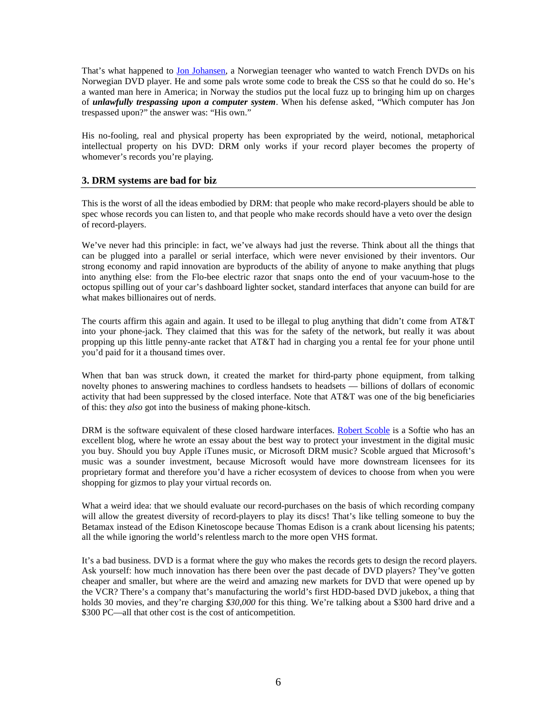That's what happened to [Jon Johansen,](http://www.nanocrew.net/blog/) a Norwegian teenager who wanted to watch French DVDs on his Norwegian DVD player. He and some pals wrote some code to break the CSS so that he could do so. He's a wanted man here in America; in Norway the studios put the local fuzz up to bringing him up on charges of *unlawfully trespassing upon a computer system*. When his defense asked, "Which computer has Jon trespassed upon?" the answer was: "His own."

His no-fooling, real and physical property has been expropriated by the weird, notional, metaphorical intellectual property on his DVD: DRM only works if your record player becomes the property of whomever's records you're playing.

## **3. DRM systems are bad for biz**

This is the worst of all the ideas embodied by DRM: that people who make record-players should be able to spec whose records you can listen to, and that people who make records should have a veto over the design of record-players.

We've never had this principle: in fact, we've always had just the reverse. Think about all the things that can be plugged into a parallel or serial interface, which were never envisioned by their inventors. Our strong economy and rapid innovation are byproducts of the ability of anyone to make anything that plugs into anything else: from the Flo-bee electric razor that snaps onto the end of your vacuum-hose to the octopus spilling out of your car's dashboard lighter socket, standard interfaces that anyone can build for are what makes billionaires out of nerds.

The courts affirm this again and again. It used to be illegal to plug anything that didn't come from AT&T into your phone-jack. They claimed that this was for the safety of the network, but really it was about propping up this little penny-ante racket that AT&T had in charging you a rental fee for your phone until you'd paid for it a thousand times over.

When that ban was struck down, it created the market for third-party phone equipment, from talking novelty phones to answering machines to cordless handsets to headsets — billions of dollars of economic activity that had been suppressed by the closed interface. Note that  $AT&T$  was one of the big beneficiaries of this: they *also* got into the business of making phone-kitsch.

DRM is the software equivalent of these closed hardware interfaces. [Robert Scoble](http://scoble.weblogs.com/) is a Softie who has an excellent blog, where he wrote an essay about the best way to protect your investment in the digital music you buy. Should you buy Apple iTunes music, or Microsoft DRM music? Scoble argued that Microsoft's music was a sounder investment, because Microsoft would have more downstream licensees for its proprietary format and therefore you'd have a richer ecosystem of devices to choose from when you were shopping for gizmos to play your virtual records on.

What a weird idea: that we should evaluate our record-purchases on the basis of which recording company will allow the greatest diversity of record-players to play its discs! That's like telling someone to buy the Betamax instead of the Edison Kinetoscope because Thomas Edison is a crank about licensing his patents; all the while ignoring the world's relentless march to the more open VHS format.

It's a bad business. DVD is a format where the guy who makes the records gets to design the record players. Ask yourself: how much innovation has there been over the past decade of DVD players? They've gotten cheaper and smaller, but where are the weird and amazing new markets for DVD that were opened up by the VCR? There's a company that's manufacturing the world's first HDD-based DVD jukebox, a thing that holds 30 movies, and they're charging *\$30,000* for this thing. We're talking about a \$300 hard drive and a \$300 PC—all that other cost is the cost of anticompetition.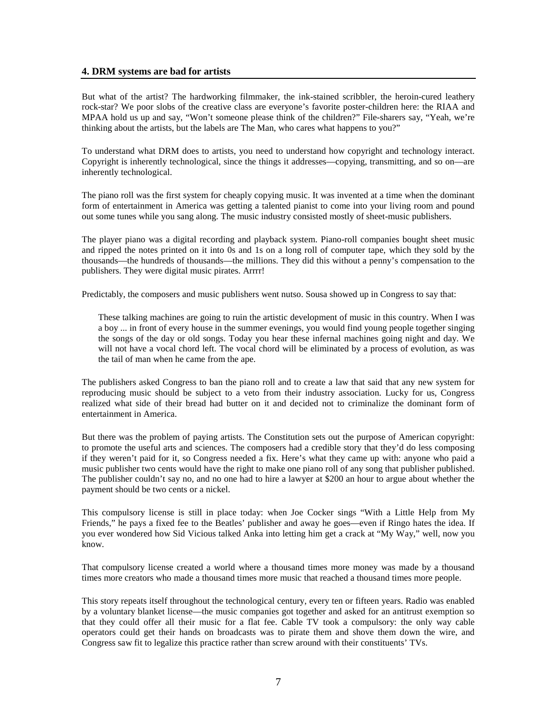#### **4. DRM systems are bad for artists**

But what of the artist? The hardworking filmmaker, the ink-stained scribbler, the heroin-cured leathery rock-star? We poor slobs of the creative class are everyone's favorite poster-children here: the RIAA and MPAA hold us up and say, "Won't someone please think of the children?" File-sharers say, "Yeah, we're thinking about the artists, but the labels are The Man, who cares what happens to you?"

To understand what DRM does to artists, you need to understand how copyright and technology interact. Copyright is inherently technological, since the things it addresses—copying, transmitting, and so on—are inherently technological.

The piano roll was the first system for cheaply copying music. It was invented at a time when the dominant form of entertainment in America was getting a talented pianist to come into your living room and pound out some tunes while you sang along. The music industry consisted mostly of sheet-music publishers.

The player piano was a digital recording and playback system. Piano-roll companies bought sheet music and ripped the notes printed on it into 0s and 1s on a long roll of computer tape, which they sold by the thousands—the hundreds of thousands—the millions. They did this without a penny's compensation to the publishers. They were digital music pirates. Arrrr!

Predictably, the composers and music publishers went nutso. Sousa showed up in Congress to say that:

These talking machines are going to ruin the artistic development of music in this country. When I was a boy ... in front of every house in the summer evenings, you would find young people together singing the songs of the day or old songs. Today you hear these infernal machines going night and day. We will not have a vocal chord left. The vocal chord will be eliminated by a process of evolution, as was the tail of man when he came from the ape.

The publishers asked Congress to ban the piano roll and to create a law that said that any new system for reproducing music should be subject to a veto from their industry association. Lucky for us, Congress realized what side of their bread had butter on it and decided not to criminalize the dominant form of entertainment in America.

But there was the problem of paying artists. The Constitution sets out the purpose of American copyright: to promote the useful arts and sciences. The composers had a credible story that they'd do less composing if they weren't paid for it, so Congress needed a fix. Here's what they came up with: anyone who paid a music publisher two cents would have the right to make one piano roll of any song that publisher published. The publisher couldn't say no, and no one had to hire a lawyer at \$200 an hour to argue about whether the payment should be two cents or a nickel.

This compulsory license is still in place today: when Joe Cocker sings "With a Little Help from My Friends," he pays a fixed fee to the Beatles' publisher and away he goes—even if Ringo hates the idea. If you ever wondered how Sid Vicious talked Anka into letting him get a crack at "My Way," well, now you know.

That compulsory license created a world where a thousand times more money was made by a thousand times more creators who made a thousand times more music that reached a thousand times more people.

This story repeats itself throughout the technological century, every ten or fifteen years. Radio was enabled by a voluntary blanket license—the music companies got together and asked for an antitrust exemption so that they could offer all their music for a flat fee. Cable TV took a compulsory: the only way cable operators could get their hands on broadcasts was to pirate them and shove them down the wire, and Congress saw fit to legalize this practice rather than screw around with their constituents' TVs.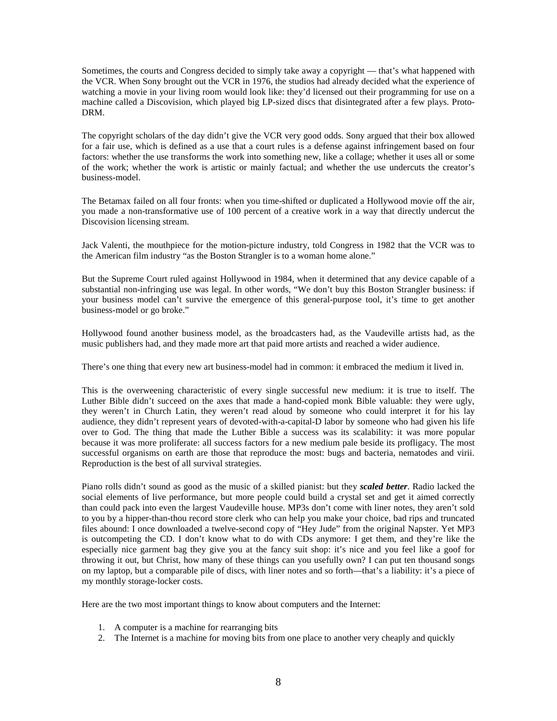Sometimes, the courts and Congress decided to simply take away a copyright — that's what happened with the VCR. When Sony brought out the VCR in 1976, the studios had already decided what the experience of watching a movie in your living room would look like: they'd licensed out their programming for use on a machine called a Discovision, which played big LP-sized discs that disintegrated after a few plays. Proto-DRM.

The copyright scholars of the day didn't give the VCR very good odds. Sony argued that their box allowed for a fair use, which is defined as a use that a court rules is a defense against infringement based on four factors: whether the use transforms the work into something new, like a collage; whether it uses all or some of the work; whether the work is artistic or mainly factual; and whether the use undercuts the creator's business-model.

The Betamax failed on all four fronts: when you time-shifted or duplicated a Hollywood movie off the air, you made a non-transformative use of 100 percent of a creative work in a way that directly undercut the Discovision licensing stream.

Jack Valenti, the mouthpiece for the motion-picture industry, told Congress in 1982 that the VCR was to the American film industry "as the Boston Strangler is to a woman home alone."

But the Supreme Court ruled against Hollywood in 1984, when it determined that any device capable of a substantial non-infringing use was legal. In other words, "We don't buy this Boston Strangler business: if your business model can't survive the emergence of this general-purpose tool, it's time to get another business-model or go broke."

Hollywood found another business model, as the broadcasters had, as the Vaudeville artists had, as the music publishers had, and they made more art that paid more artists and reached a wider audience.

There's one thing that every new art business-model had in common: it embraced the medium it lived in.

This is the overweening characteristic of every single successful new medium: it is true to itself. The Luther Bible didn't succeed on the axes that made a hand-copied monk Bible valuable: they were ugly, they weren't in Church Latin, they weren't read aloud by someone who could interpret it for his lay audience, they didn't represent years of devoted-with-a-capital-D labor by someone who had given his life over to God. The thing that made the Luther Bible a success was its scalability: it was more popular because it was more proliferate: all success factors for a new medium pale beside its profligacy. The most successful organisms on earth are those that reproduce the most: bugs and bacteria, nematodes and virii. Reproduction is the best of all survival strategies.

Piano rolls didn't sound as good as the music of a skilled pianist: but they *scaled better*. Radio lacked the social elements of live performance, but more people could build a crystal set and get it aimed correctly than could pack into even the largest Vaudeville house. MP3s don't come with liner notes, they aren't sold to you by a hipper-than-thou record store clerk who can help you make your choice, bad rips and truncated files abound: I once downloaded a twelve-second copy of "Hey Jude" from the original Napster. Yet MP3 is outcompeting the CD. I don't know what to do with CDs anymore: I get them, and they're like the especially nice garment bag they give you at the fancy suit shop: it's nice and you feel like a goof for throwing it out, but Christ, how many of these things can you usefully own? I can put ten thousand songs on my laptop, but a comparable pile of discs, with liner notes and so forth—that's a liability: it's a piece of my monthly storage-locker costs.

Here are the two most important things to know about computers and the Internet:

- 1. A computer is a machine for rearranging bits
- 2. The Internet is a machine for moving bits from one place to another very cheaply and quickly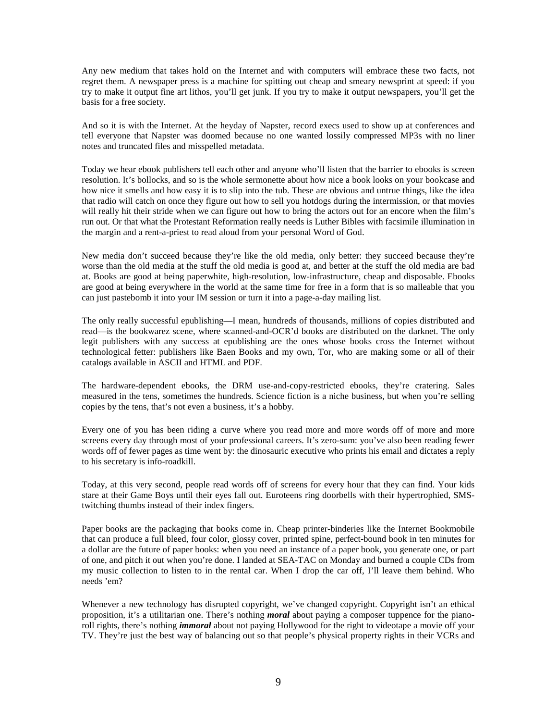Any new medium that takes hold on the Internet and with computers will embrace these two facts, not regret them. A newspaper press is a machine for spitting out cheap and smeary newsprint at speed: if you try to make it output fine art lithos, you'll get junk. If you try to make it output newspapers, you'll get the basis for a free society.

And so it is with the Internet. At the heyday of Napster, record execs used to show up at conferences and tell everyone that Napster was doomed because no one wanted lossily compressed MP3s with no liner notes and truncated files and misspelled metadata.

Today we hear ebook publishers tell each other and anyone who'll listen that the barrier to ebooks is screen resolution. It's bollocks, and so is the whole sermonette about how nice a book looks on your bookcase and how nice it smells and how easy it is to slip into the tub. These are obvious and untrue things, like the idea that radio will catch on once they figure out how to sell you hotdogs during the intermission, or that movies will really hit their stride when we can figure out how to bring the actors out for an encore when the film's run out. Or that what the Protestant Reformation really needs is Luther Bibles with facsimile illumination in the margin and a rent-a-priest to read aloud from your personal Word of God.

New media don't succeed because they're like the old media, only better: they succeed because they're worse than the old media at the stuff the old media is good at, and better at the stuff the old media are bad at. Books are good at being paperwhite, high-resolution, low-infrastructure, cheap and disposable. Ebooks are good at being everywhere in the world at the same time for free in a form that is so malleable that you can just pastebomb it into your IM session or turn it into a page-a-day mailing list.

The only really successful epublishing—I mean, hundreds of thousands, millions of copies distributed and read—is the bookwarez scene, where scanned-and-OCR'd books are distributed on the darknet. The only legit publishers with any success at epublishing are the ones whose books cross the Internet without technological fetter: publishers like Baen Books and my own, Tor, who are making some or all of their catalogs available in ASCII and HTML and PDF.

The hardware-dependent ebooks, the DRM use-and-copy-restricted ebooks, they're cratering. Sales measured in the tens, sometimes the hundreds. Science fiction is a niche business, but when you're selling copies by the tens, that's not even a business, it's a hobby.

Every one of you has been riding a curve where you read more and more words off of more and more screens every day through most of your professional careers. It's zero-sum: you've also been reading fewer words off of fewer pages as time went by: the dinosauric executive who prints his email and dictates a reply to his secretary is info-roadkill.

Today, at this very second, people read words off of screens for every hour that they can find. Your kids stare at their Game Boys until their eyes fall out. Euroteens ring doorbells with their hypertrophied, SMStwitching thumbs instead of their index fingers.

Paper books are the packaging that books come in. Cheap printer-binderies like the Internet Bookmobile that can produce a full bleed, four color, glossy cover, printed spine, perfect-bound book in ten minutes for a dollar are the future of paper books: when you need an instance of a paper book, you generate one, or part of one, and pitch it out when you're done. I landed at SEA-TAC on Monday and burned a couple CDs from my music collection to listen to in the rental car. When I drop the car off, I'll leave them behind. Who needs 'em?

Whenever a new technology has disrupted copyright, we've changed copyright. Copyright isn't an ethical proposition, it's a utilitarian one. There's nothing *moral* about paying a composer tuppence for the pianoroll rights, there's nothing *immoral* about not paying Hollywood for the right to videotape a movie off your TV. They're just the best way of balancing out so that people's physical property rights in their VCRs and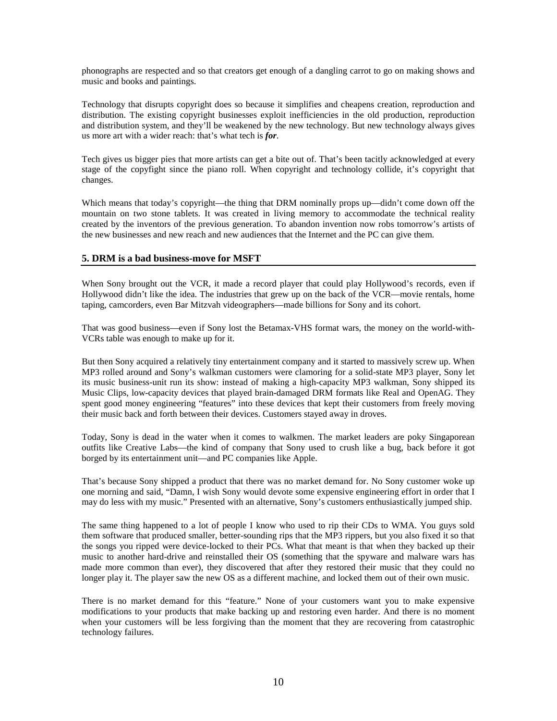phonographs are respected and so that creators get enough of a dangling carrot to go on making shows and music and books and paintings.

Technology that disrupts copyright does so because it simplifies and cheapens creation, reproduction and distribution. The existing copyright businesses exploit inefficiencies in the old production, reproduction and distribution system, and they'll be weakened by the new technology. But new technology always gives us more art with a wider reach: that's what tech is *for*.

Tech gives us bigger pies that more artists can get a bite out of. That's been tacitly acknowledged at every stage of the copyfight since the piano roll. When copyright and technology collide, it's copyright that changes.

Which means that today's copyright—the thing that DRM nominally props up—didn't come down off the mountain on two stone tablets. It was created in living memory to accommodate the technical reality created by the inventors of the previous generation. To abandon invention now robs tomorrow's artists of the new businesses and new reach and new audiences that the Internet and the PC can give them.

## **5. DRM is a bad business-move for MSFT**

When Sony brought out the VCR, it made a record player that could play Hollywood's records, even if Hollywood didn't like the idea. The industries that grew up on the back of the VCR—movie rentals, home taping, camcorders, even Bar Mitzvah videographers—made billions for Sony and its cohort.

That was good business—even if Sony lost the Betamax-VHS format wars, the money on the world-with-VCRs table was enough to make up for it.

But then Sony acquired a relatively tiny entertainment company and it started to massively screw up. When MP3 rolled around and Sony's walkman customers were clamoring for a solid-state MP3 player, Sony let its music business-unit run its show: instead of making a high-capacity MP3 walkman, Sony shipped its Music Clips, low-capacity devices that played brain-damaged DRM formats like Real and OpenAG. They spent good money engineering "features" into these devices that kept their customers from freely moving their music back and forth between their devices. Customers stayed away in droves.

Today, Sony is dead in the water when it comes to walkmen. The market leaders are poky Singaporean outfits like Creative Labs—the kind of company that Sony used to crush like a bug, back before it got borged by its entertainment unit—and PC companies like Apple.

That's because Sony shipped a product that there was no market demand for. No Sony customer woke up one morning and said, "Damn, I wish Sony would devote some expensive engineering effort in order that I may do less with my music." Presented with an alternative, Sony's customers enthusiastically jumped ship.

The same thing happened to a lot of people I know who used to rip their CDs to WMA. You guys sold them software that produced smaller, better-sounding rips that the MP3 rippers, but you also fixed it so that the songs you ripped were device-locked to their PCs. What that meant is that when they backed up their music to another hard-drive and reinstalled their OS (something that the spyware and malware wars has made more common than ever), they discovered that after they restored their music that they could no longer play it. The player saw the new OS as a different machine, and locked them out of their own music.

There is no market demand for this "feature." None of your customers want you to make expensive modifications to your products that make backing up and restoring even harder. And there is no moment when your customers will be less forgiving than the moment that they are recovering from catastrophic technology failures.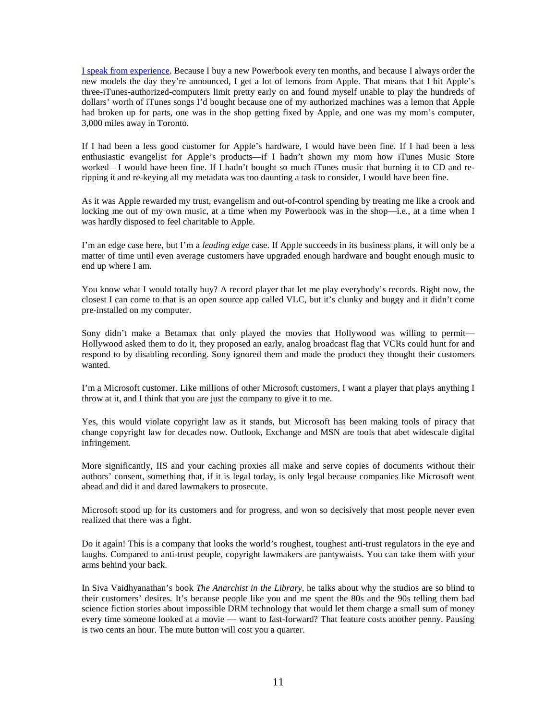[I speak from experience.](http://www.boingboing.net/2004/03/26/vlc_will_play_itunes.html) Because I buy a new Powerbook every ten months, and because I always order the new models the day they're announced, I get a lot of lemons from Apple. That means that I hit Apple's three-iTunes-authorized-computers limit pretty early on and found myself unable to play the hundreds of dollars' worth of iTunes songs I'd bought because one of my authorized machines was a lemon that Apple had broken up for parts, one was in the shop getting fixed by Apple, and one was my mom's computer, 3,000 miles away in Toronto.

If I had been a less good customer for Apple's hardware, I would have been fine. If I had been a less enthusiastic evangelist for Apple's products—if I hadn't shown my mom how iTunes Music Store worked—I would have been fine. If I hadn't bought so much iTunes music that burning it to CD and reripping it and re-keying all my metadata was too daunting a task to consider, I would have been fine.

As it was Apple rewarded my trust, evangelism and out-of-control spending by treating me like a crook and locking me out of my own music, at a time when my Powerbook was in the shop—i.e., at a time when I was hardly disposed to feel charitable to Apple.

I'm an edge case here, but I'm a *leading edge* case. If Apple succeeds in its business plans, it will only be a matter of time until even average customers have upgraded enough hardware and bought enough music to end up where I am.

You know what I would totally buy? A record player that let me play everybody's records. Right now, the closest I can come to that is an open source app called VLC, but it's clunky and buggy and it didn't come pre-installed on my computer.

Sony didn't make a Betamax that only played the movies that Hollywood was willing to permit— Hollywood asked them to do it, they proposed an early, analog broadcast flag that VCRs could hunt for and respond to by disabling recording. Sony ignored them and made the product they thought their customers wanted.

I'm a Microsoft customer. Like millions of other Microsoft customers, I want a player that plays anything I throw at it, and I think that you are just the company to give it to me.

Yes, this would violate copyright law as it stands, but Microsoft has been making tools of piracy that change copyright law for decades now. Outlook, Exchange and MSN are tools that abet widescale digital infringement.

More significantly, IIS and your caching proxies all make and serve copies of documents without their authors' consent, something that, if it is legal today, is only legal because companies like Microsoft went ahead and did it and dared lawmakers to prosecute.

Microsoft stood up for its customers and for progress, and won so decisively that most people never even realized that there was a fight.

Do it again! This is a company that looks the world's roughest, toughest anti-trust regulators in the eye and laughs. Compared to anti-trust people, copyright lawmakers are pantywaists. You can take them with your arms behind your back.

In Siva Vaidhyanathan's book *The Anarchist in the Library*, he talks about why the studios are so blind to their customers' desires. It's because people like you and me spent the 80s and the 90s telling them bad science fiction stories about impossible DRM technology that would let them charge a small sum of money every time someone looked at a movie — want to fast-forward? That feature costs another penny. Pausing is two cents an hour. The mute button will cost you a quarter.